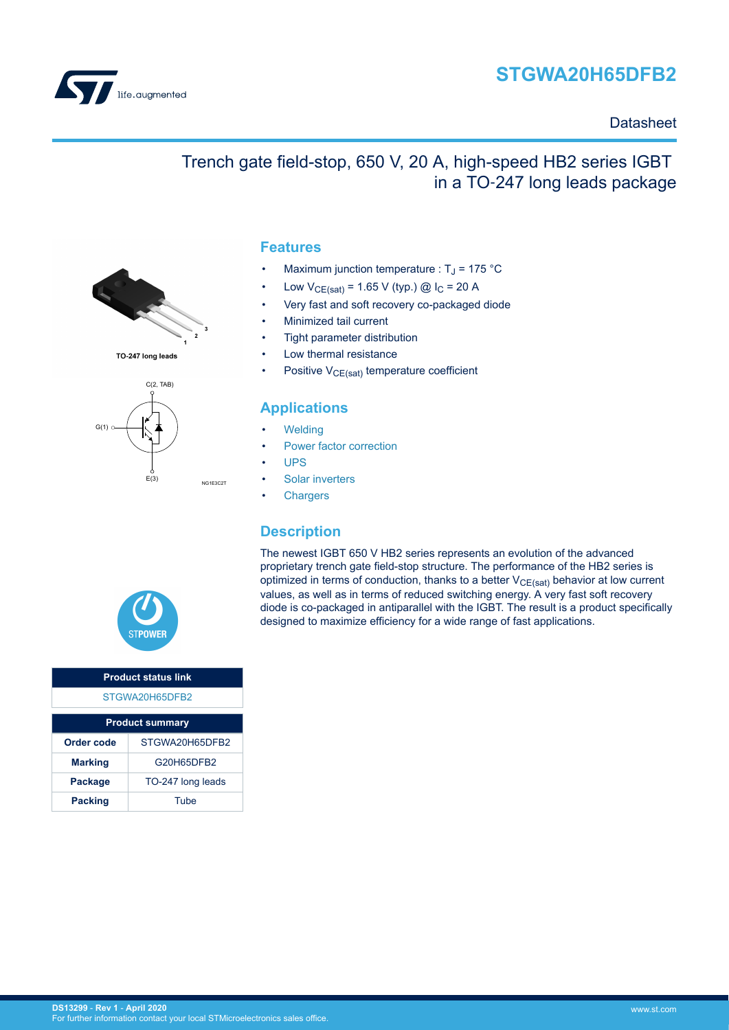



#### **Datasheet**

### Trench gate field-stop, 650 V, 20 A, high-speed HB2 series IGBT in a TO‑247 long leads package



- Maximum junction temperature :  $T_J$  = 175 °C
- Low  $V_{CE(sat)} = 1.65 V$  (typ.) @  $I_C = 20 A$
- Very fast and soft recovery co-packaged diode
- Minimized tail current
- Tight parameter distribution
- Low thermal resistance
- Positive  $V_{CE(sat)}$  temperature coefficient

### **Applications**

- **[Welding](https://www.st.com/en/applications/industrial-power-and-tools/welding.html?ecmp=tt9471_gl_link_feb2019&rt=ds&id=DS13299)**
- [Power factor correction](https://www.st.com/en/applications/power-supplies-and-converters/pfc-converter-single-phase-input.html?ecmp=tt9471_gl_link_feb2019&rt=ds&id=DS13299)
- [UPS](https://www.st.com/en/applications/power-supplies-and-converters/uninterruptable-power-supplies-ups.html?ecmp=tt9471_gl_link_feb2019&rt=ds&id=DS13299)
- [Solar inverters](https://www.st.com/en/applications/energy-generation-and-distribution/solar-inverters-string-and-central.html?ecmp=tt9471_gl_link_feb2019&rt=ds&id=DS13299)
- **[Chargers](https://www.st.com/en/applications/energy-generation-and-distribution/dc-fast-charging-station.html?ecmp=tt9471_gl_link_feb2019&rt=ds&id=DS13299)**

### **Description**

The newest IGBT 650 V HB2 series represents an evolution of the advanced proprietary trench gate field-stop structure. The performance of the HB2 series is optimized in terms of conduction, thanks to a better  $V_{CE(sat)}$  behavior at low current values, as well as in terms of reduced switching energy. A very fast soft recovery diode is co-packaged in antiparallel with the IGBT. The result is a product specifically designed to maximize efficiency for a wide range of fast applications.



 $C(2, TAB)$ 

TO-247 long leads

 $E(3)$ 

 $G(1)$ 

NG1E3C2T

| <b>Product status link</b> |                   |  |  |  |  |
|----------------------------|-------------------|--|--|--|--|
| STGWA20H65DFB2             |                   |  |  |  |  |
|                            |                   |  |  |  |  |
| <b>Product summary</b>     |                   |  |  |  |  |
| Order code                 | STGWA20H65DFB2    |  |  |  |  |
| <b>Marking</b>             | G20H65DFB2        |  |  |  |  |
| Package                    | TO-247 long leads |  |  |  |  |
| <b>Packing</b>             | Tube              |  |  |  |  |

## **Features**

- 
- 
- 
- 
- 
- 

- 
- 
- 
- 
- 

**DS13299** - **Rev 1** - **April 2020** For further information contact your local STMicroelectronics sales office.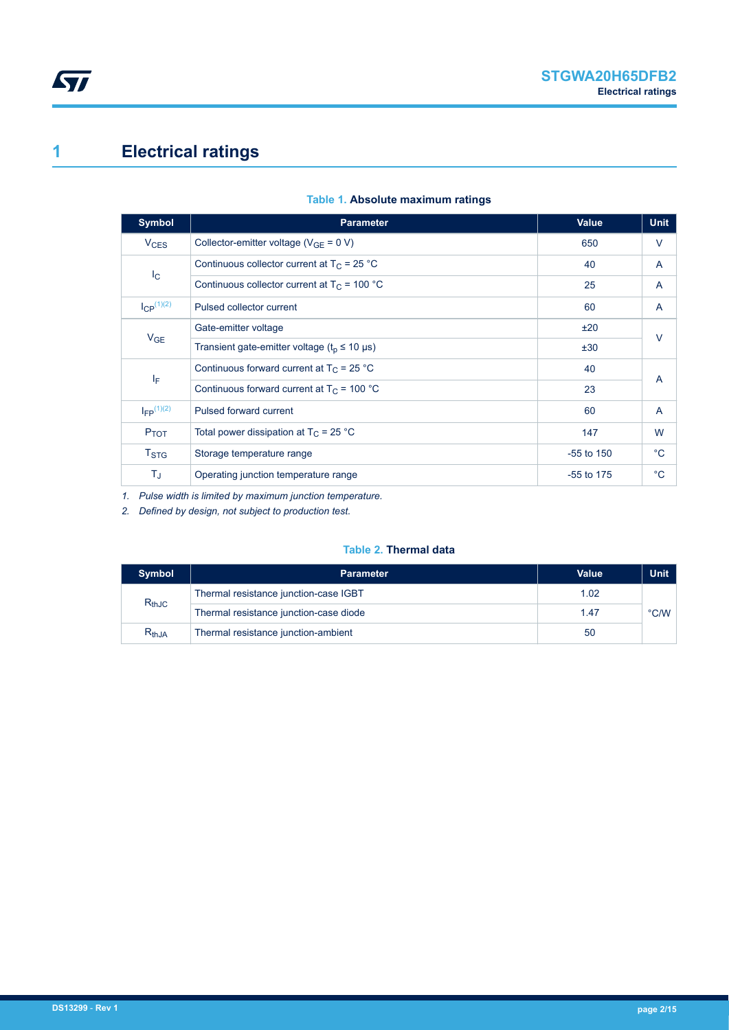## <span id="page-1-0"></span>**1 Electrical ratings**

| <b>Symbol</b>          | <b>Parameter</b>                                                    | Value        | <b>Unit</b> |
|------------------------|---------------------------------------------------------------------|--------------|-------------|
| <b>V<sub>CES</sub></b> | Collector-emitter voltage ( $V_{GF} = 0 V$ )                        | 650          | V           |
|                        | Continuous collector current at $T_C = 25 °C$                       | 40           | A           |
| $I_{\rm C}$            | Continuous collector current at $T_c$ = 100 °C                      | 25           | A           |
| $I_{CP}^{(1)(2)}$      | Pulsed collector current                                            | 60           | A           |
|                        | Gate-emitter voltage                                                | ±20          | V           |
| $V_{GE}$               | Transient gate-emitter voltage ( $t_0 \le 10 \text{ }\mu\text{s}$ ) | ±30          |             |
|                        | Continuous forward current at $T_C = 25 °C$                         | 40           |             |
| ΙF                     | Continuous forward current at $T_C = 100 °C$                        | 23           | A           |
| $I_{FP}$ $(1)(2)$      | Pulsed forward current                                              | 60           | A           |
| $P_{TOT}$              | Total power dissipation at $T_C = 25 °C$                            | 147          | W           |
| $T_{\mathrm{STG}}$     | Storage temperature range                                           | $-55$ to 150 | $^{\circ}C$ |
| T,                     | Operating junction temperature range                                | $-55$ to 175 | $^{\circ}C$ |

#### **Table 1. Absolute maximum ratings**

*1. Pulse width is limited by maximum junction temperature.*

*2. Defined by design, not subject to production test.*

#### **Table 2. Thermal data**

| <b>Symbol</b> | <b>Parameter</b>                       | <b>Value</b> | <b>Unit</b>   |
|---------------|----------------------------------------|--------------|---------------|
| $R_{thJC}$    | Thermal resistance junction-case IGBT  | 1.02         |               |
|               | Thermal resistance junction-case diode | 1.47         | $\degree$ C/W |
| $R_{th,JA}$   | Thermal resistance junction-ambient    | 50           |               |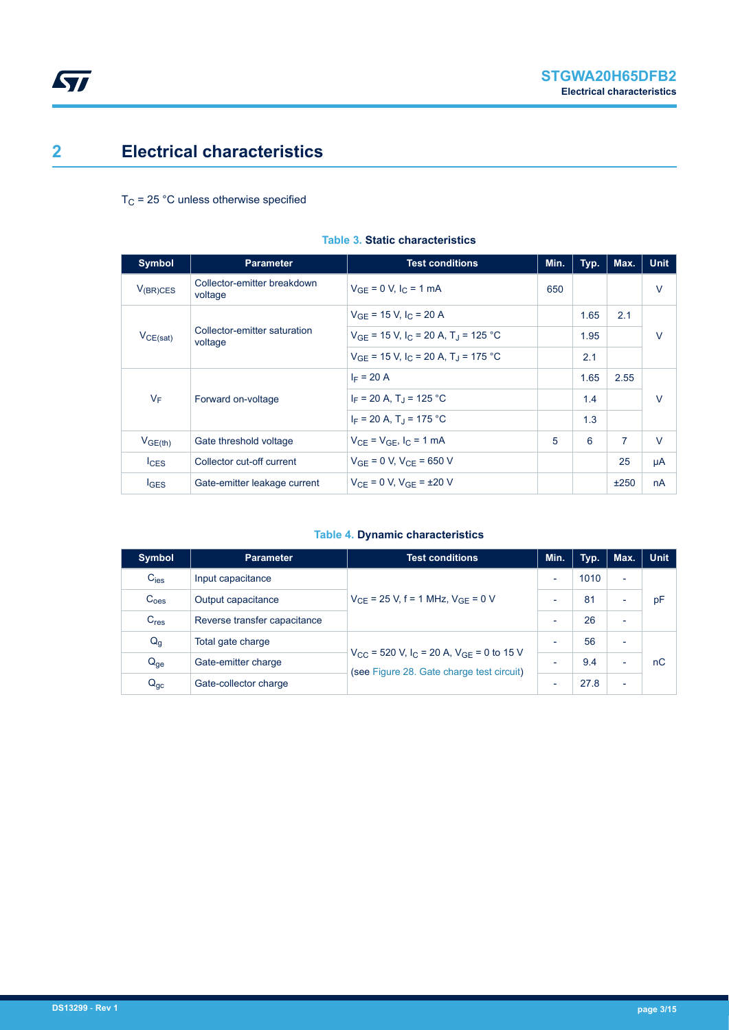### <span id="page-2-0"></span>**2 Electrical characteristics**

 $T_C$  = 25 °C unless otherwise specified

| Symbol              | <b>Parameter</b>                        | <b>Test conditions</b>                                          | Min. | Typ. | Max.           | <b>Unit</b> |
|---------------------|-----------------------------------------|-----------------------------------------------------------------|------|------|----------------|-------------|
| $V_{(BR)CES}$       | Collector-emitter breakdown<br>voltage  | $V_{GF} = 0 V, I_C = 1 mA$                                      | 650  |      |                | V           |
|                     | Collector-emitter saturation<br>voltage | $V_{GF}$ = 15 V, I <sub>C</sub> = 20 A                          |      | 1.65 | 2.1            | $\vee$      |
| $V_{CE(sat)}$       |                                         | $V_{GF}$ = 15 V, I <sub>C</sub> = 20 A, T <sub>J</sub> = 125 °C |      | 1.95 |                |             |
|                     |                                         | $V_{GF}$ = 15 V, I <sub>C</sub> = 20 A, T <sub>J</sub> = 175 °C |      | 2.1  |                |             |
|                     | Forward on-voltage                      | $I_F = 20 A$                                                    |      | 1.65 | 2.55           | $\vee$      |
| $V_F$               |                                         | $I_F$ = 20 A, T <sub>J</sub> = 125 °C                           |      | 1.4  |                |             |
|                     |                                         | $I_F = 20 A$ , T <sub>J</sub> = 175 °C                          |      | 1.3  |                |             |
| V <sub>GE(th)</sub> | Gate threshold voltage                  | $V_{CF}$ = $V_{GF}$ , $I_C$ = 1 mA                              | 5    | 6    | $\overline{7}$ | $\vee$      |
| lc <sub>ES</sub>    | Collector cut-off current               | $V_{GF} = 0 V$ , $V_{CF} = 650 V$                               |      |      | 25             | μA          |
| <b>IGES</b>         | Gate-emitter leakage current            | $V_{CF} = 0 V$ , $V_{GF} = \pm 20 V$                            |      |      | ±250           | nA          |

#### **Table 3. Static characteristics**

#### **Table 4. Dynamic characteristics**

| <b>Symbol</b>    | <b>Parameter</b>             | <b>Test conditions</b>                                                                                            | Min.                     | Typ. | Max.                     | <b>Unit</b> |
|------------------|------------------------------|-------------------------------------------------------------------------------------------------------------------|--------------------------|------|--------------------------|-------------|
| $C_{\text{ies}}$ | Input capacitance            | $V_{CF}$ = 25 V, f = 1 MHz, $V_{GF}$ = 0 V                                                                        | $\overline{\phantom{0}}$ | 1010 | $\overline{\phantom{a}}$ |             |
| $C_{\text{oes}}$ | Output capacitance           |                                                                                                                   | $\overline{\phantom{0}}$ | 81   | $\overline{\phantom{0}}$ | pF          |
| C <sub>res</sub> | Reverse transfer capacitance |                                                                                                                   | $\overline{\phantom{0}}$ | 26   | $\overline{\phantom{0}}$ |             |
| $Q_g$            | Total gate charge            | $V_{CC}$ = 520 V, I <sub>C</sub> = 20 A, V <sub>GE</sub> = 0 to 15 V<br>(see Figure 28. Gate charge test circuit) | $\overline{\phantom{0}}$ | 56   | $\overline{\phantom{0}}$ |             |
| $Q_{ge}$         | Gate-emitter charge          |                                                                                                                   | $\overline{\phantom{0}}$ | 9.4  | $\overline{\phantom{0}}$ | nC          |
| $Q_{gc}$         | Gate-collector charge        |                                                                                                                   | $\overline{\phantom{0}}$ | 27.8 | $\overline{\phantom{0}}$ |             |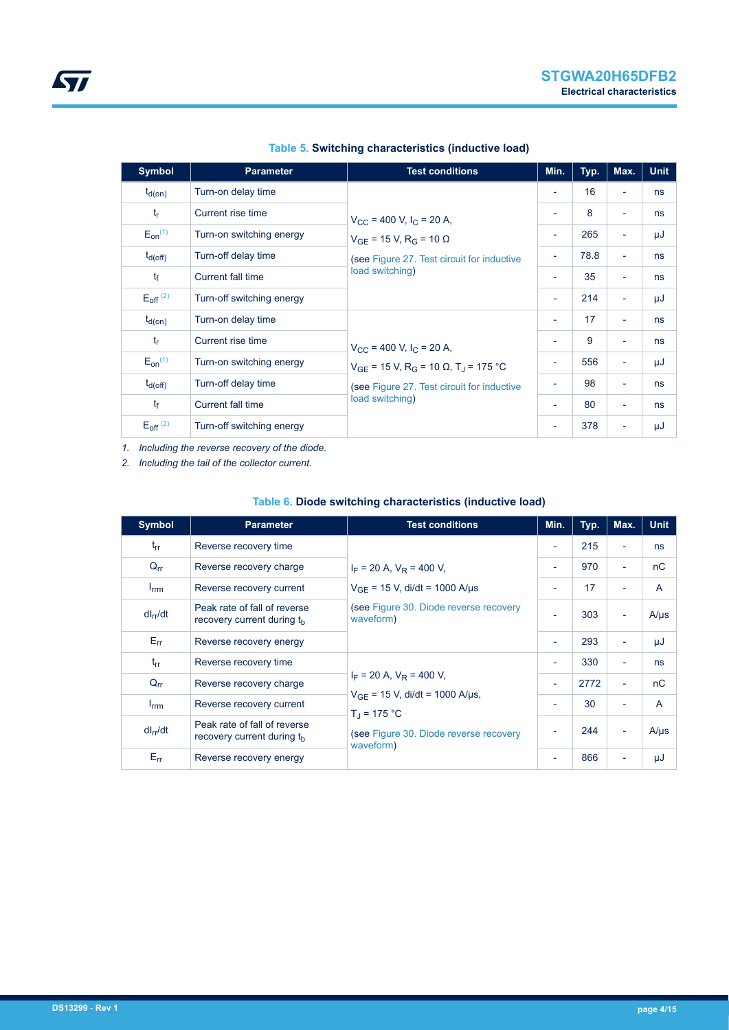| <b>Symbol</b>            | <b>Parameter</b>          | <b>Test conditions</b>                                                                                                                   | Min.                     | Typ. | Max.                     | <b>Unit</b> |
|--------------------------|---------------------------|------------------------------------------------------------------------------------------------------------------------------------------|--------------------------|------|--------------------------|-------------|
| $t_{d(on)}$              | Turn-on delay time        |                                                                                                                                          | $\overline{\phantom{a}}$ | 16   | ÷                        | ns          |
| $t_{r}$                  | Current rise time         | $V_{\rm CC}$ = 400 V, I <sub>C</sub> = 20 A,                                                                                             | ٠                        | 8    | $\overline{\phantom{a}}$ | ns          |
| $E_{on}^{(1)}$           | Turn-on switching energy  | $V_{GF}$ = 15 V, R <sub>G</sub> = 10 $\Omega$                                                                                            | $\overline{\phantom{a}}$ | 265  | $\overline{\phantom{a}}$ | μJ          |
| $t_{d(off)}$             | Turn-off delay time       | (see Figure 27. Test circuit for inductive                                                                                               | $\overline{\phantom{a}}$ | 78.8 | $\overline{\phantom{a}}$ | ns          |
| $t_{\rm f}$              | <b>Current fall time</b>  | load switching)                                                                                                                          | $\overline{\phantom{a}}$ | 35   | ÷                        | ns          |
| $E_{\text{off}}^{(2)}$   | Turn-off switching energy |                                                                                                                                          | ٠                        | 214  | $\overline{\phantom{a}}$ | μJ          |
| $t_{d(on)}$              | Turn-on delay time        |                                                                                                                                          | ٠                        | 17   | $\overline{\phantom{a}}$ | ns          |
| $t_{r}$                  | Current rise time         | $V_{CC}$ = 400 V, I <sub>C</sub> = 20 A,                                                                                                 | ٠                        | 9    | ÷                        | ns          |
| $E_{on}^{(1)}$           | Turn-on switching energy  | $V_{GF}$ = 15 V, R <sub>G</sub> = 10 $\Omega$ , T <sub>J</sub> = 175 °C<br>(see Figure 27. Test circuit for inductive<br>load switching) | $\overline{\phantom{a}}$ | 556  | ÷                        | μJ          |
| $t_{d(Off)}$             | Turn-off delay time       |                                                                                                                                          | $\overline{\phantom{a}}$ | 98   | $\overline{\phantom{a}}$ | ns          |
| $t_{\rm f}$              | Current fall time         |                                                                                                                                          | ٠                        | 80   | ÷                        | ns          |
| $E_{off}$ <sup>(2)</sup> | Turn-off switching energy |                                                                                                                                          | $\overline{\phantom{a}}$ | 378  | ٠                        | μJ          |

#### **Table 5. Switching characteristics (inductive load)**

*1. Including the reverse recovery of the diode.*

*2. Including the tail of the collector current.*

#### **Table 6. Diode switching characteristics (inductive load)**

| <b>Symbol</b>    | <b>Parameter</b>                                                       | <b>Test conditions</b>                                                                                                                         | Min.                     | Typ. | Max.                     | <b>Unit</b>  |
|------------------|------------------------------------------------------------------------|------------------------------------------------------------------------------------------------------------------------------------------------|--------------------------|------|--------------------------|--------------|
| $t_{rr}$         | Reverse recovery time                                                  | $I_F$ = 20 A, $V_R$ = 400 V,                                                                                                                   | $\overline{\phantom{a}}$ | 215  | $\overline{\phantom{0}}$ | ns           |
| $Q_{rr}$         | Reverse recovery charge                                                |                                                                                                                                                | $\overline{\phantom{a}}$ | 970  | ÷                        | nC           |
| $I_{\text{rrm}}$ | Reverse recovery current                                               | $V_{GF}$ = 15 V, di/dt = 1000 A/µs                                                                                                             | $\overline{\phantom{a}}$ | 17   | $\overline{\phantom{0}}$ | $\mathsf{A}$ |
| $dl_{rr}/dt$     | Peak rate of fall of reverse<br>recovery current during t <sub>h</sub> | (see Figure 30. Diode reverse recovery<br>waveform)                                                                                            | $\overline{\phantom{0}}$ | 303  | $\overline{\phantom{a}}$ | $A/\mu s$    |
| $E_{rr}$         | Reverse recovery energy                                                |                                                                                                                                                | $\overline{\phantom{a}}$ | 293  | ÷                        | μJ           |
| $t_{rr}$         | Reverse recovery time                                                  | $I_F$ = 20 A, $V_R$ = 400 V,<br>$V_{GF}$ = 15 V, di/dt = 1000 A/µs,<br>$T_{d}$ = 175 °C<br>(see Figure 30. Diode reverse recovery<br>waveform) | $\overline{\phantom{a}}$ | 330  | ÷                        | ns           |
| $Q_{rr}$         | Reverse recovery charge                                                |                                                                                                                                                | $\overline{\phantom{a}}$ | 2772 | ÷                        | nC           |
| $I_{\text{rrm}}$ | Reverse recovery current                                               |                                                                                                                                                | $\overline{\phantom{a}}$ | 30   | $\overline{\phantom{0}}$ | $\mathsf{A}$ |
| $dl_{rr}/dt$     | Peak rate of fall of reverse<br>recovery current during t <sub>h</sub> |                                                                                                                                                |                          | 244  | ÷                        | $A/\mu s$    |
| $E_{rr}$         | Reverse recovery energy                                                |                                                                                                                                                | $\overline{\phantom{a}}$ | 866  |                          | μJ           |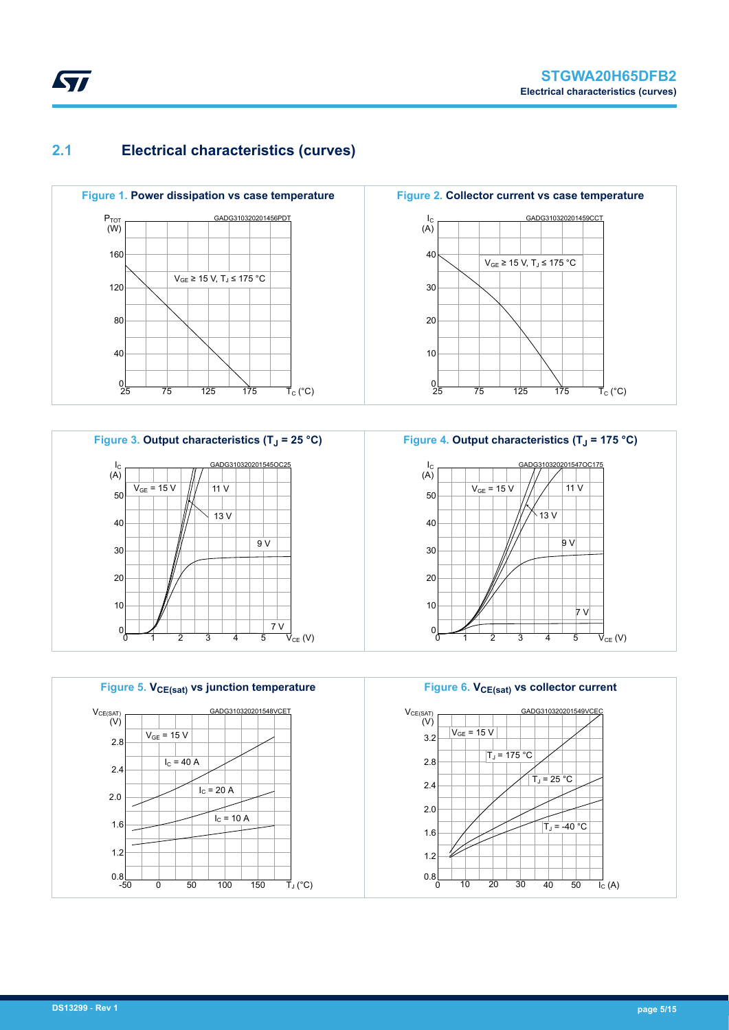### **2.1 Electrical characteristics (curves)**





**Figure 5. VCE(sat) vs junction temperature** GADG310320201548VCET 2.8 2.4 2.0 1.6 1.2  $0.8$ <sub>-50</sub> -50 0 50 100 150  $V_{CE(SAT)}$ <br>(V) TJ (°C)  $V_{GF}$  = 15 V  $I<sub>C</sub>$  = 20 A  $I_C = 10 A$  $I<sub>C</sub> = 40 A$ 

**Figure 2. Collector current vs case temperature** GADG310320201459CCT 40 30 20 10  $0\frac{1}{25}$ 25 75 125 175  $I_{C}$ (A)  $\vec{\mathsf{T}}_{\mathrm{C}}$  (°C)  $V_{GE}$  ≥ 15 V, T<sub>J</sub> ≤ 175 °C



**Figure 6. VCE(sat) vs collector current** GADG310320201549VC 3.2 2.8 2.4 2.0 1.6 1.2  $0.8$ 0 20 40 10 30 50  $V_{CE(SAT)}$ <br>(V)  $\overrightarrow{I_{C}}$  (A)  $V_{GE}$  = 15 V  $\overline{T}_J = 175$  °C  $T_J = 25 °C$  $T_J = -40 °C$ 

# <span id="page-4-0"></span>**STI**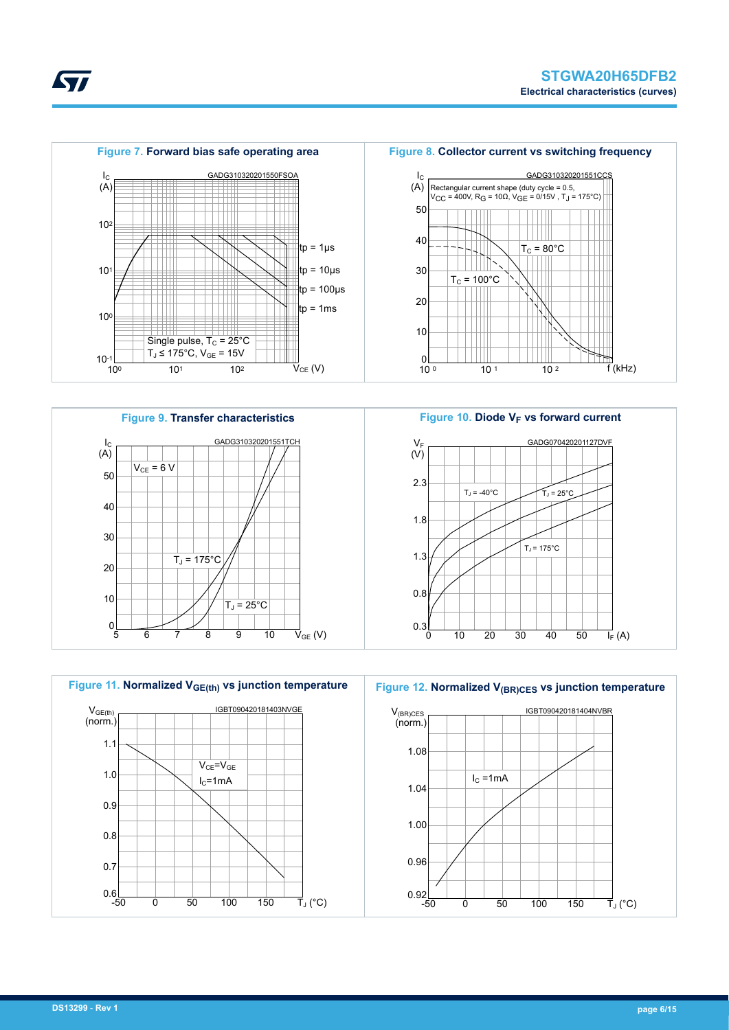







Figure 10. Diode V<sub>F</sub> vs forward current GADG070420201127DVF 2.3 1.8 1.3 0.8  $0.36$ 0 10 20 30 40 50  $V_F$  $(V)$  $\overline{I_{F}}(A)$  $T_J = -40^{\circ}C$   $T_J = 25^{\circ}C$  $T_J$  = 175 $^{\circ}$ C

Figure 12. Normalized V<sub>(BR)CES</sub> vs junction temperature



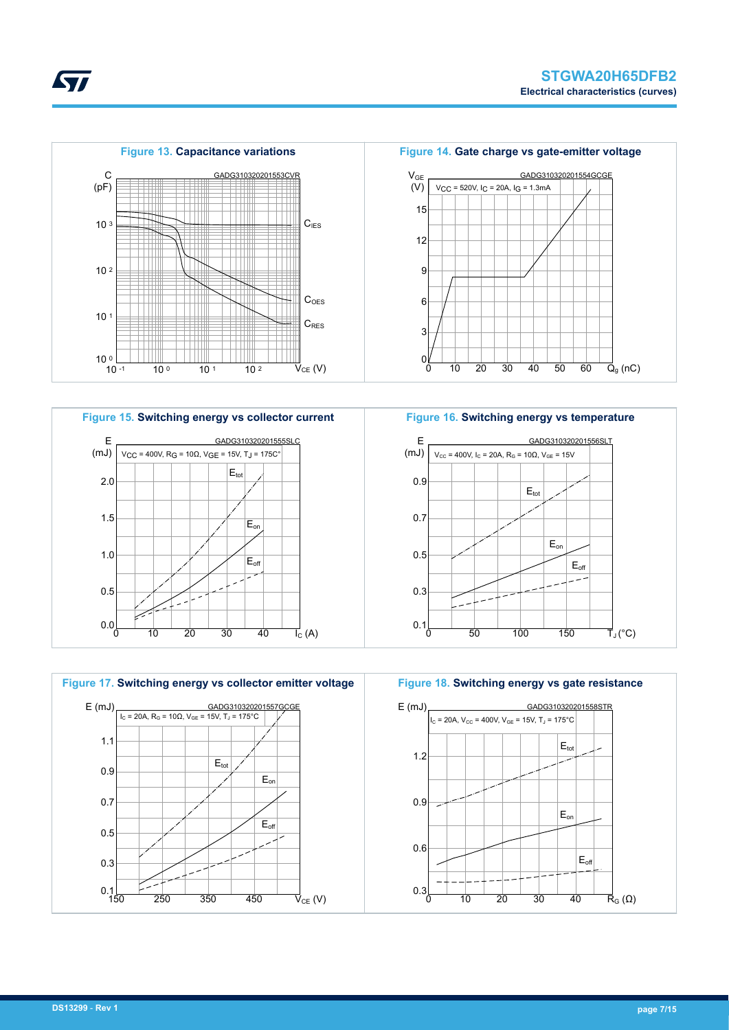







**Figure 16. Switching energy vs temperature**



**Figure 18. Switching energy vs gate resistance**



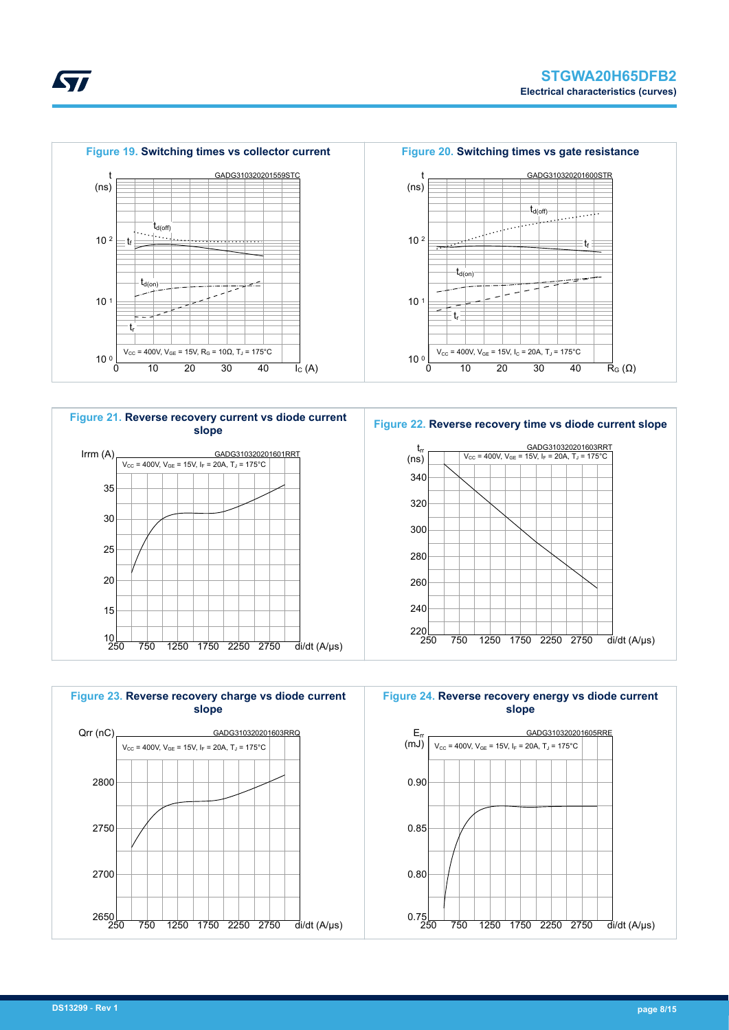









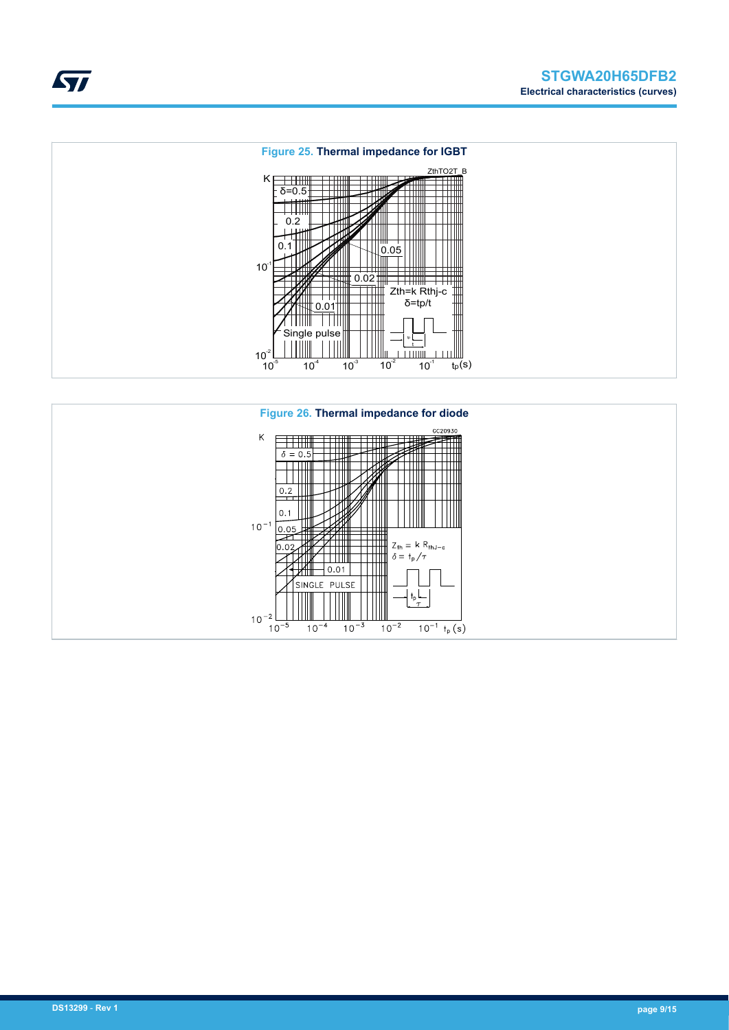



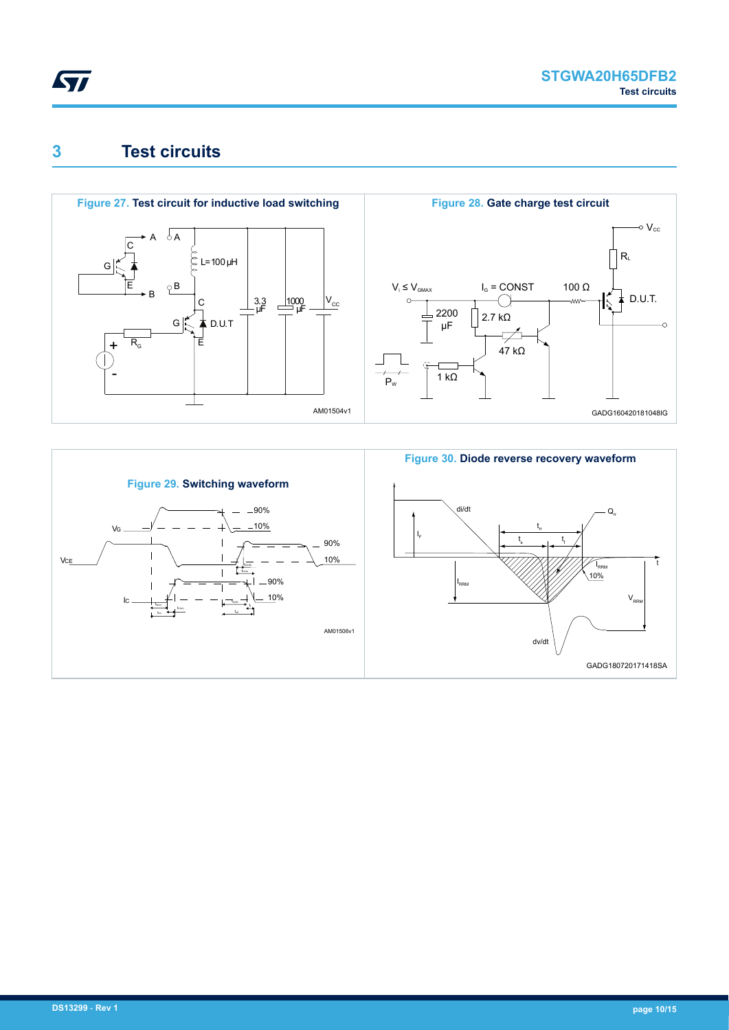<span id="page-9-0"></span>

### **3 Test circuits**



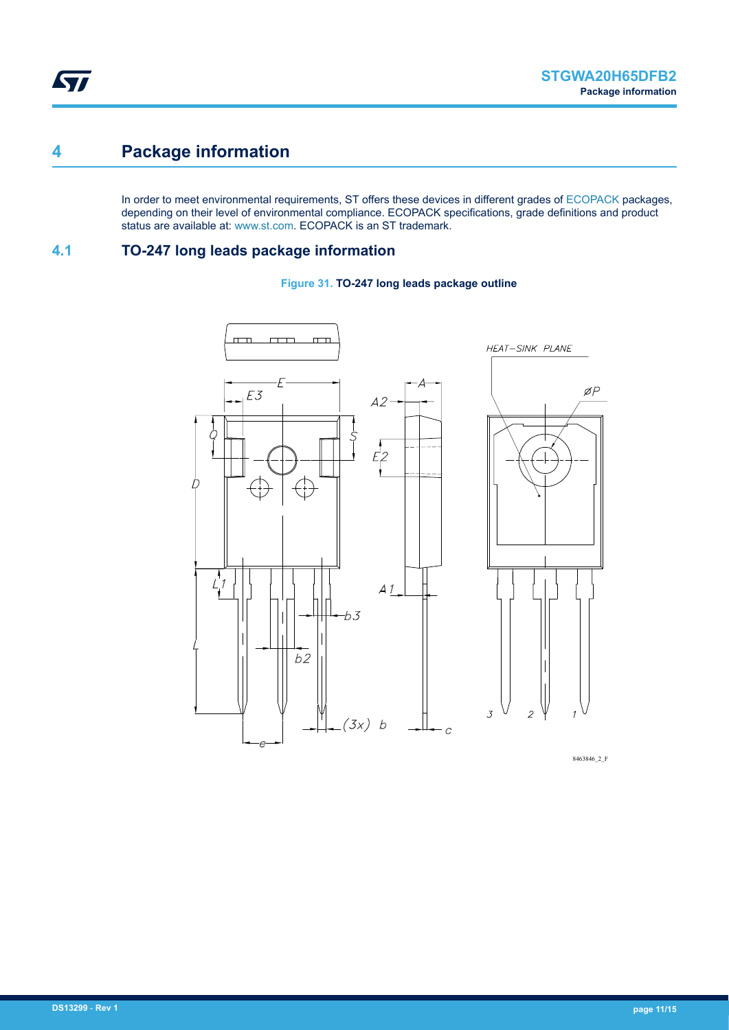### <span id="page-10-0"></span>**4 Package information**

In order to meet environmental requirements, ST offers these devices in different grades of [ECOPACK](https://www.st.com/ecopack) packages, depending on their level of environmental compliance. ECOPACK specifications, grade definitions and product status are available at: [www.st.com.](http://www.st.com) ECOPACK is an ST trademark.

#### **4.1 TO-247 long leads package information**





8463846\_2\_F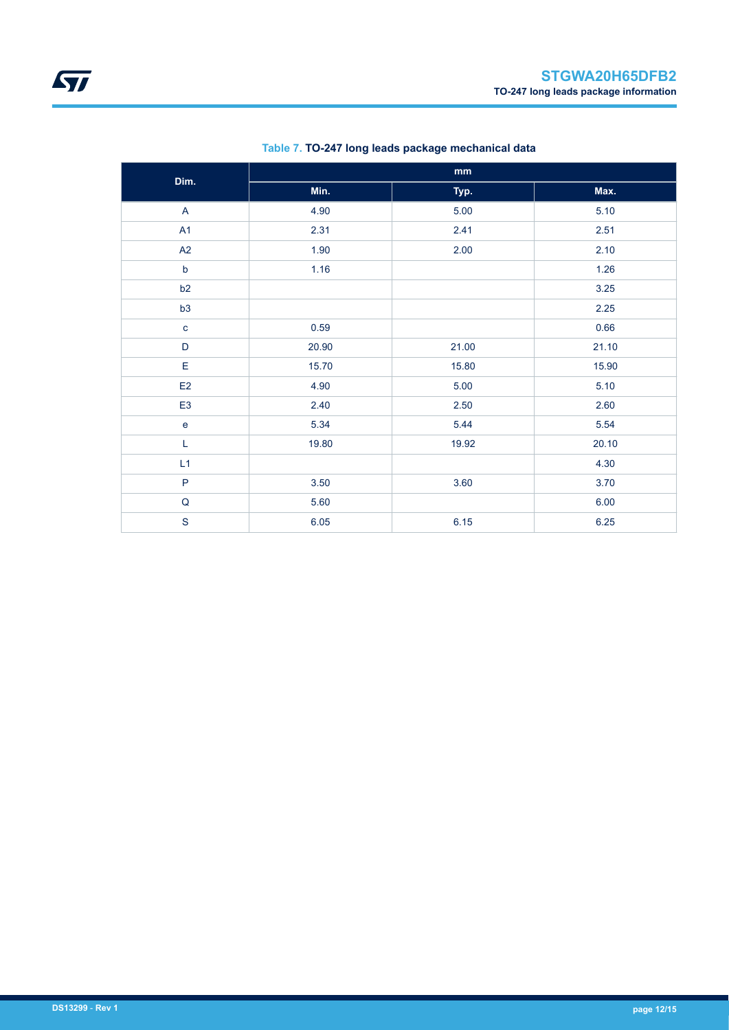| Dim.           |       |       |       |
|----------------|-------|-------|-------|
|                | Min.  | Typ.  | Max.  |
| A              | 4.90  | 5.00  | 5.10  |
| A1             | 2.31  | 2.41  | 2.51  |
| A2             | 1.90  | 2.00  | 2.10  |
| $\mathsf b$    | 1.16  |       | 1.26  |
| b2             |       |       | 3.25  |
| b3             |       |       | 2.25  |
| $\mathbf{C}$   | 0.59  |       | 0.66  |
| $\mathsf D$    | 20.90 | 21.00 | 21.10 |
| E              | 15.70 | 15.80 | 15.90 |
| E2             | 4.90  | 5.00  | 5.10  |
| E <sub>3</sub> | 2.40  | 2.50  | 2.60  |
| $\mathbf e$    | 5.34  | 5.44  | 5.54  |
| L              | 19.80 | 19.92 | 20.10 |
| L1             |       |       | 4.30  |
| P              | 3.50  | 3.60  | 3.70  |
| ${\sf Q}$      | 5.60  |       | 6.00  |
| S              | 6.05  | 6.15  | 6.25  |

#### **Table 7. TO-247 long leads package mechanical data**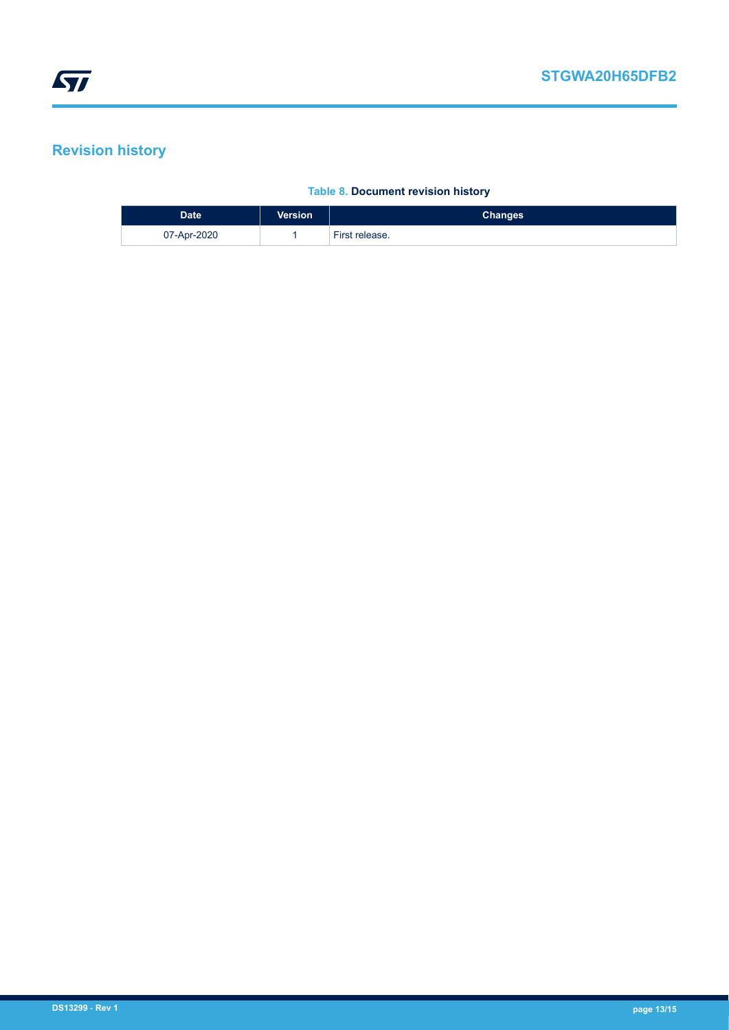## <span id="page-12-0"></span>**Revision history**

#### **Table 8. Document revision history**

| <b>Date</b> | <b>Version</b> | <b>Changes</b> |
|-------------|----------------|----------------|
| 07-Apr-2020 |                | First release. |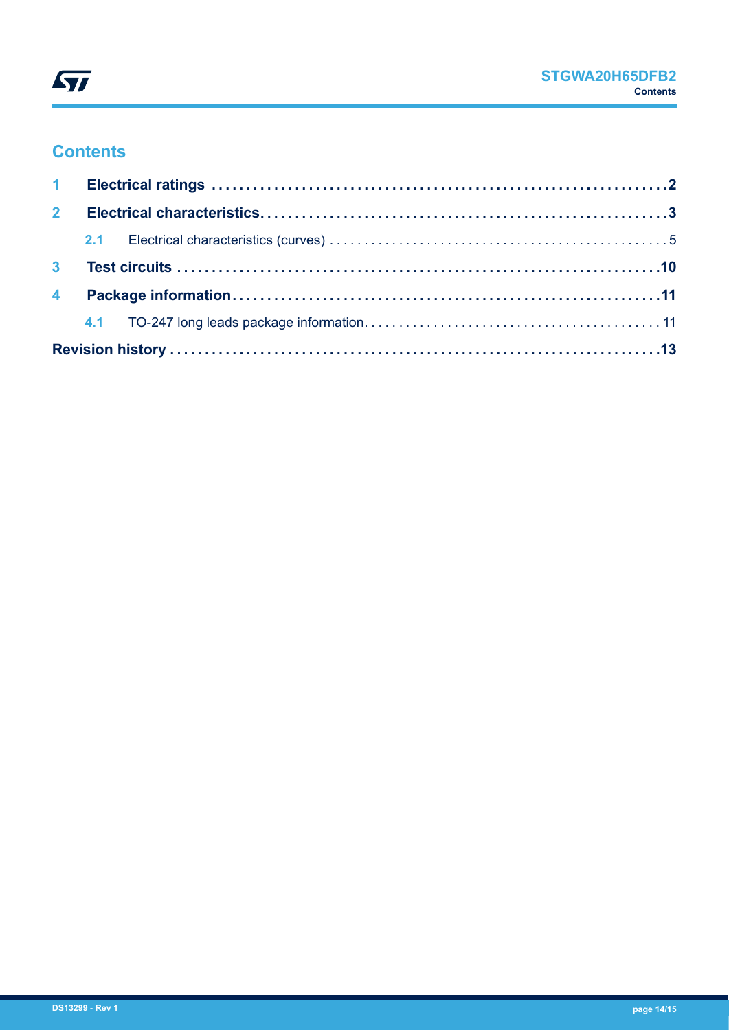

### **Contents**

| 2 <sup>7</sup> |  |  |  |  |  |
|----------------|--|--|--|--|--|
|                |  |  |  |  |  |
| 3 <sup>1</sup> |  |  |  |  |  |
|                |  |  |  |  |  |
|                |  |  |  |  |  |
|                |  |  |  |  |  |